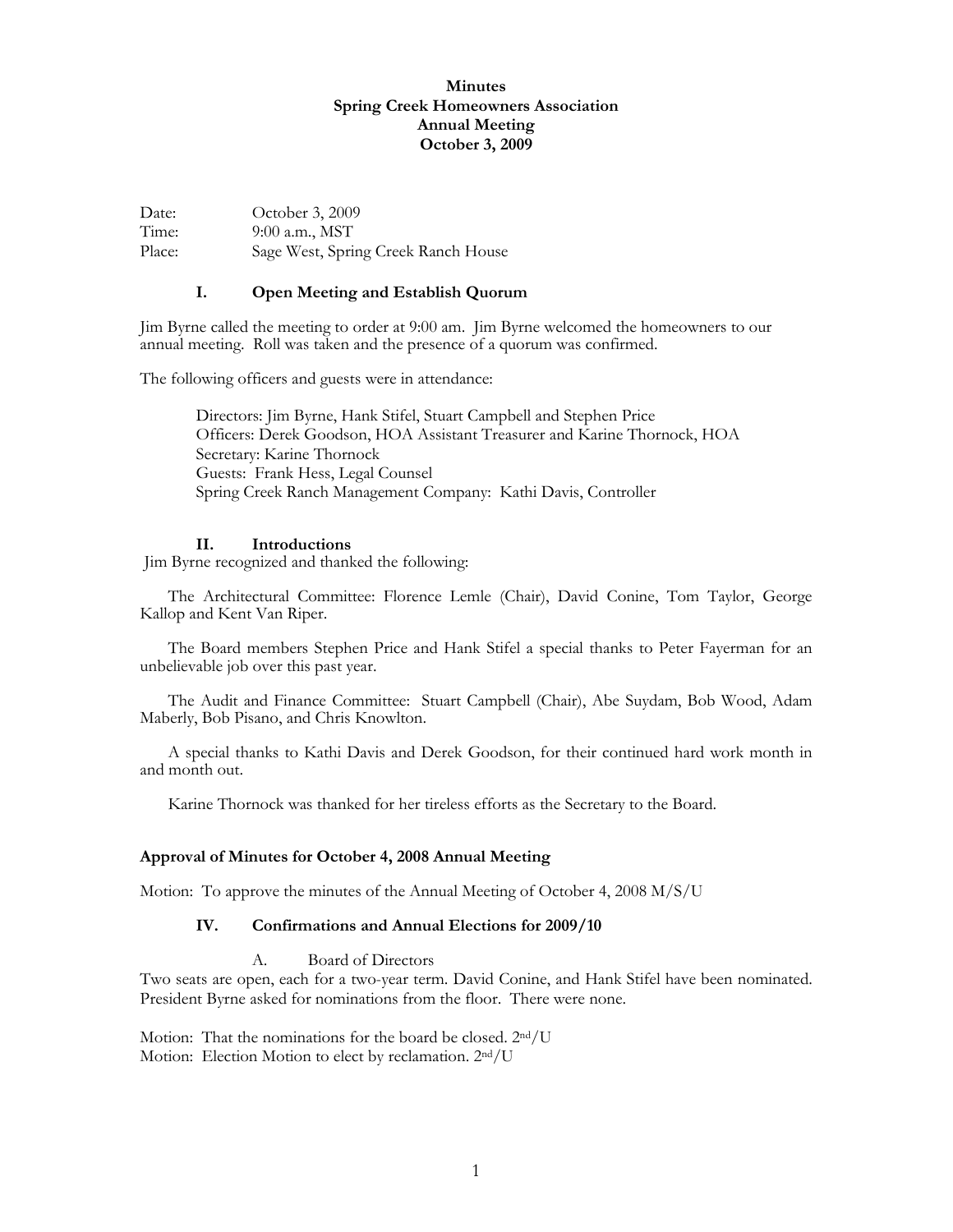| Date:  | October 3, 2009                     |
|--------|-------------------------------------|
| Time:  | $9:00$ a.m., MST                    |
| Place: | Sage West, Spring Creek Ranch House |

#### **I. Open Meeting and Establish Quorum**

Jim Byrne called the meeting to order at 9:00 am. Jim Byrne welcomed the homeowners to our annual meeting. Roll was taken and the presence of a quorum was confirmed.

The following officers and guests were in attendance:

Directors: Jim Byrne, Hank Stifel, Stuart Campbell and Stephen Price Officers: Derek Goodson, HOA Assistant Treasurer and Karine Thornock, HOA Secretary: Karine Thornock Guests: Frank Hess, Legal Counsel Spring Creek Ranch Management Company: Kathi Davis, Controller

#### **II. Introductions**

Jim Byrne recognized and thanked the following:

 The Architectural Committee: Florence Lemle (Chair), David Conine, Tom Taylor, George Kallop and Kent Van Riper.

 The Board members Stephen Price and Hank Stifel a special thanks to Peter Fayerman for an unbelievable job over this past year.

 The Audit and Finance Committee: Stuart Campbell (Chair), Abe Suydam, Bob Wood, Adam Maberly, Bob Pisano, and Chris Knowlton.

 A special thanks to Kathi Davis and Derek Goodson, for their continued hard work month in and month out.

Karine Thornock was thanked for her tireless efforts as the Secretary to the Board.

#### **Approval of Minutes for October 4, 2008 Annual Meeting**

Motion: To approve the minutes of the Annual Meeting of October 4, 2008 M/S/U

#### **IV. Confirmations and Annual Elections for 2009/10**

#### A. Board of Directors

Two seats are open, each for a two-year term. David Conine, and Hank Stifel have been nominated. President Byrne asked for nominations from the floor. There were none.

Motion: That the nominations for the board be closed. 2nd/U Motion: Election Motion to elect by reclamation. 2<sup>nd</sup>/U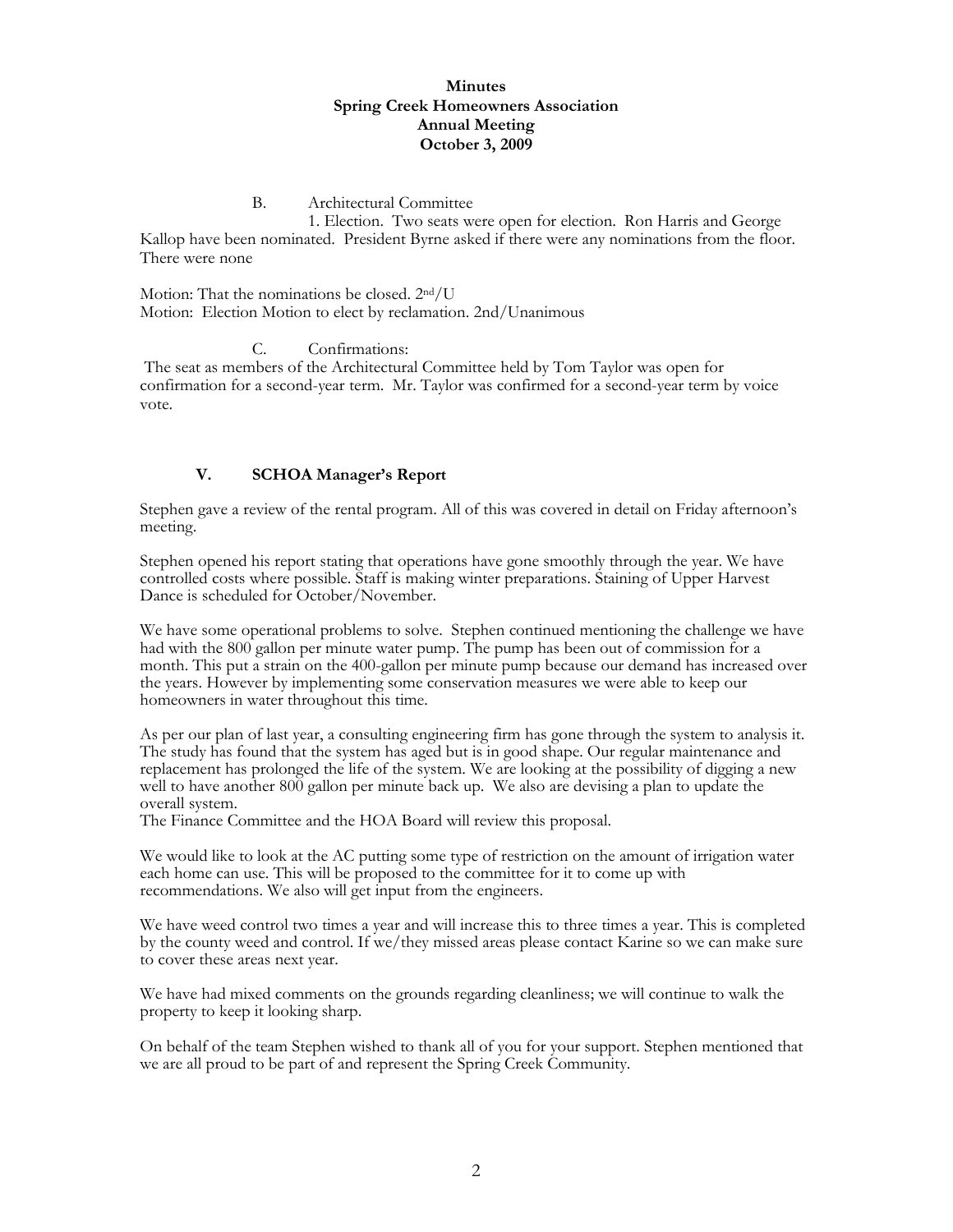#### B. Architectural Committee

 1. Election. Two seats were open for election. Ron Harris and George Kallop have been nominated. President Byrne asked if there were any nominations from the floor. There were none

Motion: That the nominations be closed. 2nd/U Motion: Election Motion to elect by reclamation. 2nd/Unanimous

C. Confirmations:

 The seat as members of the Architectural Committee held by Tom Taylor was open for confirmation for a second-year term. Mr. Taylor was confirmed for a second-year term by voice vote.

### **V. SCHOA Manager's Report**

Stephen gave a review of the rental program. All of this was covered in detail on Friday afternoon's meeting.

Stephen opened his report stating that operations have gone smoothly through the year. We have controlled costs where possible. Staff is making winter preparations. Staining of Upper Harvest Dance is scheduled for October/November.

We have some operational problems to solve. Stephen continued mentioning the challenge we have had with the 800 gallon per minute water pump. The pump has been out of commission for a month. This put a strain on the 400-gallon per minute pump because our demand has increased over the years. However by implementing some conservation measures we were able to keep our homeowners in water throughout this time.

As per our plan of last year, a consulting engineering firm has gone through the system to analysis it. The study has found that the system has aged but is in good shape. Our regular maintenance and replacement has prolonged the life of the system. We are looking at the possibility of digging a new well to have another 800 gallon per minute back up. We also are devising a plan to update the overall system.

The Finance Committee and the HOA Board will review this proposal.

We would like to look at the AC putting some type of restriction on the amount of irrigation water each home can use. This will be proposed to the committee for it to come up with recommendations. We also will get input from the engineers.

We have weed control two times a year and will increase this to three times a year. This is completed by the county weed and control. If we/they missed areas please contact Karine so we can make sure to cover these areas next year.

We have had mixed comments on the grounds regarding cleanliness; we will continue to walk the property to keep it looking sharp.

On behalf of the team Stephen wished to thank all of you for your support. Stephen mentioned that we are all proud to be part of and represent the Spring Creek Community.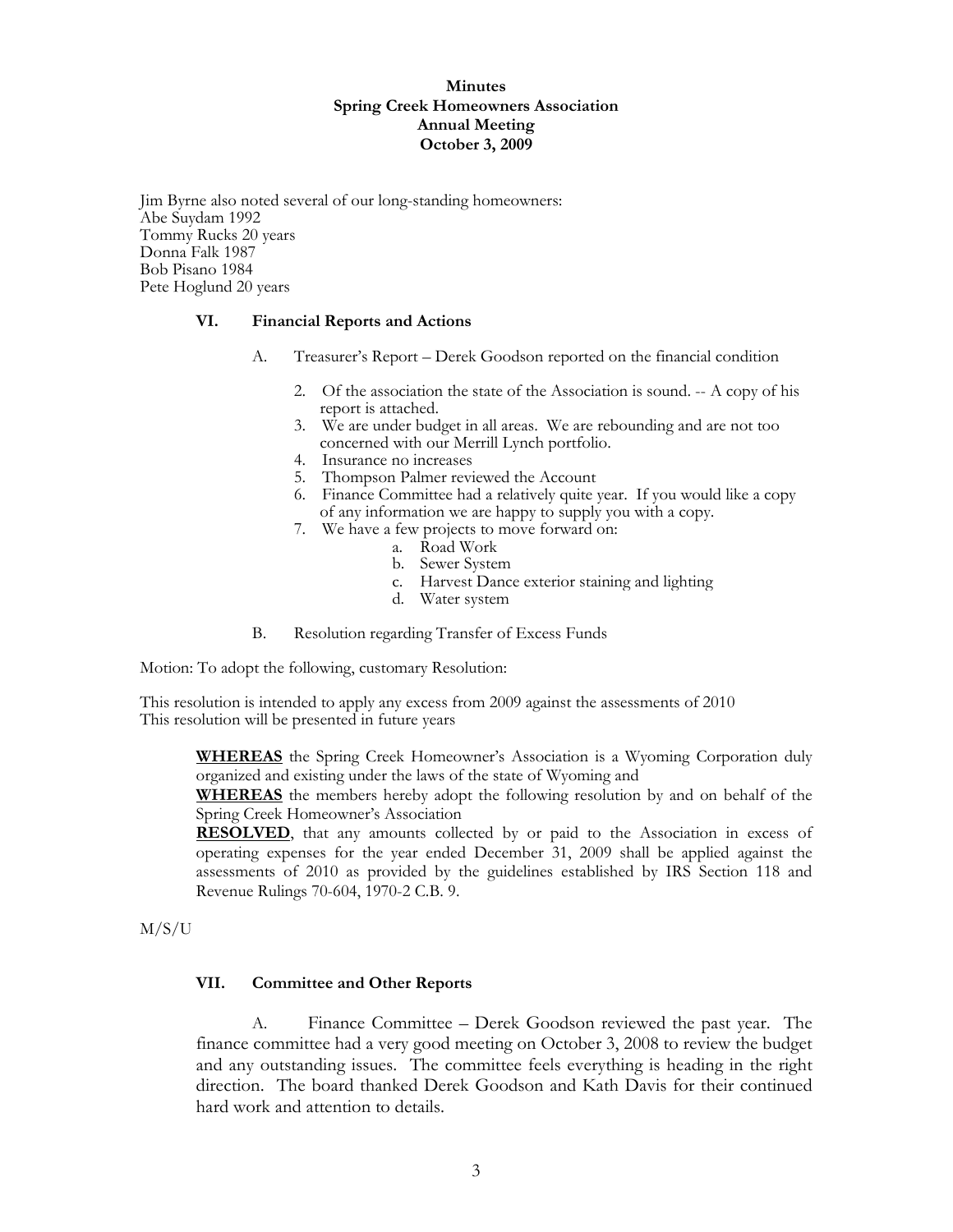Jim Byrne also noted several of our long-standing homeowners: Abe Suydam 1992 Tommy Rucks 20 years Donna Falk 1987 Bob Pisano 1984 Pete Hoglund 20 years

### **VI. Financial Reports and Actions**

- A. Treasurer's Report Derek Goodson reported on the financial condition
	- 2. Of the association the state of the Association is sound. -- A copy of his report is attached.
	- 3. We are under budget in all areas. We are rebounding and are not too concerned with our Merrill Lynch portfolio.
	- 4. Insurance no increases
	- 5. Thompson Palmer reviewed the Account
	- 6. Finance Committee had a relatively quite year. If you would like a copy of any information we are happy to supply you with a copy.
	- 7. We have a few projects to move forward on:
		- a. Road Work
		- b. Sewer System
		- c. Harvest Dance exterior staining and lighting
		- d. Water system
- B. Resolution regarding Transfer of Excess Funds

Motion: To adopt the following, customary Resolution:

This resolution is intended to apply any excess from 2009 against the assessments of 2010 This resolution will be presented in future years

**WHEREAS** the Spring Creek Homeowner's Association is a Wyoming Corporation duly organized and existing under the laws of the state of Wyoming and

**WHEREAS** the members hereby adopt the following resolution by and on behalf of the Spring Creek Homeowner's Association

**RESOLVED**, that any amounts collected by or paid to the Association in excess of operating expenses for the year ended December 31, 2009 shall be applied against the assessments of 2010 as provided by the guidelines established by IRS Section 118 and Revenue Rulings 70-604, 1970-2 C.B. 9.

M/S/U

#### **VII. Committee and Other Reports**

 A. Finance Committee – Derek Goodson reviewed the past year. The finance committee had a very good meeting on October 3, 2008 to review the budget and any outstanding issues. The committee feels everything is heading in the right direction. The board thanked Derek Goodson and Kath Davis for their continued hard work and attention to details.